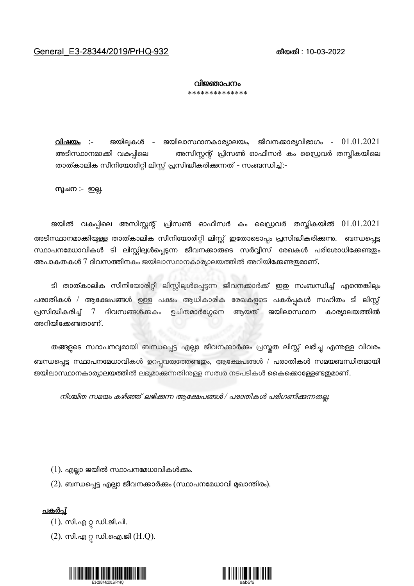## വിജ്ഞാപനം \*\*\*\*\*\*\*\*\*\*\*\*\*\*

 $\Omega$ ിഷയം :- ജയിലുകൾ - ജയിലാസ്ഥാനകാര്യാലയം, ജീവനക്കാര്യവിഭാഗം -  $01.01.2021$ അടിസ്ഥാനമാക്കി വകപ്പിലെ അസിസ്റ്റന്റ് പ്രിസൺ ഓഫീസർ കം ഡ്രൈവർ തസ്തികയിലെ താത്കാലിക സീനിയോരിറ്റി ലിസ്റ്റ് പ്രസിദ്ധീകരിക്കുന്നത് - സംബന്ധിച്ച്:-

<u>സൂചന :- ഇല്ല</u>.

ജയിൽ വകുപ്പിലെ അസിസ്റ്റന്റ് പ്രിസൺ ഓഫീസർ കം ഡ്രൈവർ തസ്കികയിൽ  $01.01.2021$ അടിസ്ഥാനമാക്കിയുള്ള താത്കാലിക സീനിയോരിറ്റി ലിസ്റ്റ് ഇതോടൊപ്പം പ്രസിദ്ധീകരിക്കന്നു. ബന്ധപ്പെട്ട സ്ഥാപനമേധാവികൾ ടി ലിസ്റ്റില്പൾപ്പെട്ടന്ന ജീവനക്കാരുടെ സർവ്വീസ് രേഖകൾ പരിശോധിക്കേണ്ടതും അപാകതകൾ 7 ദിവസത്തിനകം ജയിലാസ്ഥാനകാര്യാലയത്തിൽ അറിയിക്കേണ്ടതുമാണ്.

ടി താത്കാലിക സീനിയോരിറ്റി ലിസ്റ്റില്പൾപ്പെടുന്ന ജീവനക്കാർക്ക് ഇഇ സംബന്ധിച്ച് എന്തെങ്കിലും പരാതികൾ / ആക്ഷേപങ്ങൾ ഉള്ള പക്ഷം ആധികാരിക രേഖകളുടെ പകർപ്പകൾ സഹിതം ടി ലിസ്റ്റ് പ്രസിദ്ധീകരിച്ച് 7 ദിവസങ്ങൾക്കകം ഉചിതമാർഗ്ഗേനെ ആയത് ജയിലാസ്ഥാന കാര്യാലയത്തിൽ അറിയിക്കേണ്ടതാണ്.

തങ്ങളുടെ സ്ഥാപനവുമായി ബന്ധപ്പെട്ട എല്ലാ ജീവനക്കാർക്കം പ്രസ്തത ലിസ്റ്റ് ലഭിച്ചു എന്നുള്ള വിവരം ബന്ധപ്പെട്ട സ്ഥാപനമേധാവികൾ ഉറപ്പവരുത്തേണ്ടതും, ആക്ഷേപങ്ങൾ / പരാതികൾ സമയബന്ധിതമായി ജയിലാസ്ഥാനകാര്യാലയത്തിൽ ലഭ്യമാക്കുന്നതിനള്ള സത്വര നടപടികൾ കൈക്കൊള്ളേണ്ടതുമാണ്.

നിശ്ചിത സമയം കഴിഞ്ഞ് ലഭിക്കന്ന ആക്ഷേപങ്ങൾ / പരാതികൾ പരിഗണിക്കുന്നതല്ല.

 $(1)$ . എല്ലാ ജയിൽ സ്ഥാപനമേധാവികൾക്കം.

 $(2)$ . ബന്ധപ്പെട്ട എല്ലാ ജീവനക്കാർക്കം (സ്ഥാപനമേധാവി മുഖാന്തിരം).

<u>പകർപ്</u>

- $(1)$ . സി.എ റ്റ ഡി.ജി.പി.
- (2). സി.എ റ്റ ഡി.ഐ.ജി  $(H.Q)$ .



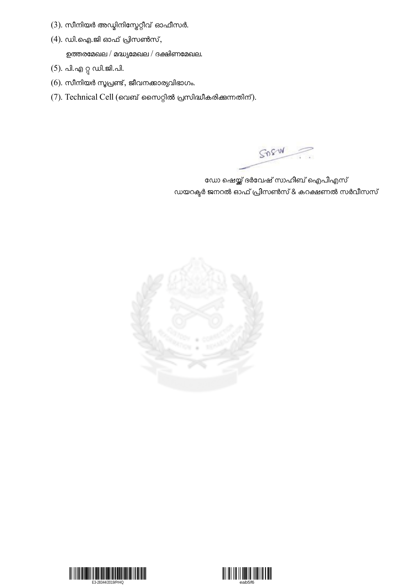- $(3)$ . സീനിയർ അഡ്മിനിസ്ലേറ്റീവ് ഓഫീസർ.
- $(4)$ . ഡി.ഐ.ജി ഓഫ് പ്രിസൺസ്, ഉത്തരമേഖല / മദ്ധ്യമേഖല / ദക്ഷിണമേഖല.
- (5). പി.എ റ്റ ഡി.ജി.പി.
- $(6)$ . സീനിയർ സൂപ്രണ്ട്, ജീവനക്കാര്യവിഭാഗം.
- $(7)$ . Technical Cell (വെബ് സൈറ്റിൽ പ്രസിദ്ധീകരിക്കുന്നതിന്).

SOSW

ഡോ ഷെയ്ക്ക് ദർവേഷ് സാഹിബ് ഐപിഎസ് ഡയറക്ടർ ജനറൽ ഓഫ് പ്രിസൺസ് & കറക്ഷണൽ സർവീസസ്





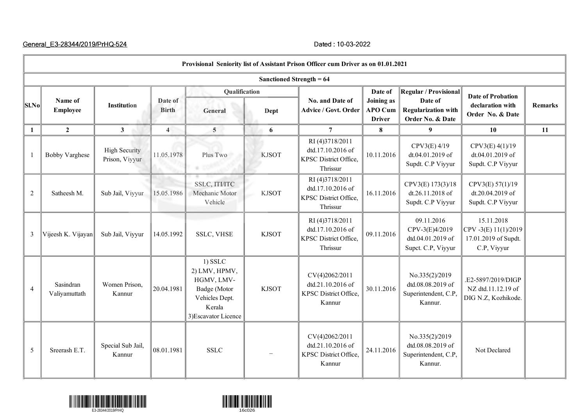|                                                 | Provisional Seniority list of Assistant Prison Officer cum Driver as on 01.01.2021 |                                        |                         |                                                                                                              |              |                                                                                 |                                                          |                                                                                    |                                                                          |                |  |  |  |
|-------------------------------------------------|------------------------------------------------------------------------------------|----------------------------------------|-------------------------|--------------------------------------------------------------------------------------------------------------|--------------|---------------------------------------------------------------------------------|----------------------------------------------------------|------------------------------------------------------------------------------------|--------------------------------------------------------------------------|----------------|--|--|--|
|                                                 | Sanctioned Strength = 64                                                           |                                        |                         |                                                                                                              |              |                                                                                 |                                                          |                                                                                    |                                                                          |                |  |  |  |
| $ \textbf{S} \textbf{l}.\textbf{N} \textbf{o} $ | Name of<br><b>Employee</b>                                                         | <b>Institution</b>                     | Date of<br><b>Birth</b> | Qualification<br>General                                                                                     | Dept         | No. and Date of<br><b>Advice / Govt. Order</b>                                  | Date of<br>Joining as<br><b>APO Cum</b><br><b>Driver</b> | Regular / Provisional<br>Date of<br><b>Regularization with</b><br>Order No. & Date | <b>Date of Probation</b><br>declaration with<br>Order No. & Date         | <b>Remarks</b> |  |  |  |
| $\mathbf{1}$                                    | $\overline{2}$                                                                     | $\mathbf{3}$                           | $\overline{4}$          | $\overline{5}$                                                                                               | 6            | $\overline{7}$                                                                  | 8                                                        | 9                                                                                  | 10                                                                       | 11             |  |  |  |
| $\mathbf{1}$                                    | <b>Bobby Varghese</b>                                                              | <b>High Security</b><br>Prison, Viyyur | 11.05.1978              | Plus Two                                                                                                     | <b>KJSOT</b> | RI(4)3718/2011<br>dtd.17.10.2016 of<br>KPSC District Office,<br>Thrissur        | 10.11.2016                                               | CPV3(E) 4/19<br>dt.04.01.2019 of<br>Supdt. C.P Viyyur                              | CPV3(E) 4(1)/19<br>dt.04.01.2019 of<br>Supdt. C.P Viyyur                 |                |  |  |  |
| $\overline{2}$                                  | Satheesh M.                                                                        | Sub Jail, Viyyur                       | 15.05.1986              | SSLC, ITI/ITC<br>Mechanic Motor<br>Vehicle                                                                   | <b>KJSOT</b> | RI(4)3718/2011<br>dtd.17.10.2016 of<br><b>KPSC District Office.</b><br>Thrissur | 16.11.2016                                               | CPV3(E) 173(3)/18<br>dt.26.11.2018 of<br>Supdt. C.P Viyyur                         | CPV3(E) 57(1)/19<br>dt.20.04.2019 of<br>Supdt. C.P Viyyur                |                |  |  |  |
| 3                                               | Vijeesh K. Vijayan                                                                 | Sub Jail, Viyyur                       | 14.05.1992              | <b>SSLC, VHSE</b>                                                                                            | <b>KJSOT</b> | RI(4)3718/2011<br>dtd.17.10.2016 of<br>KPSC District Office,<br>Thrissur        | 09.11.2016                                               | 09.11.2016<br>CPV-3(E)4/2019<br>dtd.04.01.2019 of<br>Supct. C.P, Viyyur            | 15.11.2018<br>CPV-3(E) 11(1)/2019<br>17.01.2019 of Supdt.<br>C.P, Viyyur |                |  |  |  |
| $\overline{4}$                                  | Sasindran<br>Valiyamuttath                                                         | Women Prison,<br>Kannur                | 20.04.1981              | $1)$ SSLC<br>2) LMV, HPMV,<br>HGMV, LMV-<br>Badge (Motor<br>Vehicles Dept.<br>Kerala<br>3) Escavator Licence | <b>KJSOT</b> | CV(4)2062/2011<br>dtd.21.10.2016 of<br>KPSC District Office,<br>Kannur          | 30.11.2016                                               | No.335(2)/2019<br>dtd.08.08.2019 of<br>Superintendent, C.P,<br>Kannur.             | .E2-5897/2019/DIGP<br>NZ dtd.11.12.19 of<br>DIG N.Z, Kozhikode.          |                |  |  |  |
| 5                                               | Sreerash E.T.                                                                      | Special Sub Jail,<br>Kannur            | 08.01.1981              | <b>SSLC</b>                                                                                                  |              | CV(4)2062/2011<br>dtd.21.10.2016 of<br>KPSC District Office,<br>Kannur          | 24.11.2016                                               | No.335(2)/2019<br>dtd.08.08.2019 of<br>Superintendent, C.P,<br>Kannur.             | Not Declared                                                             |                |  |  |  |



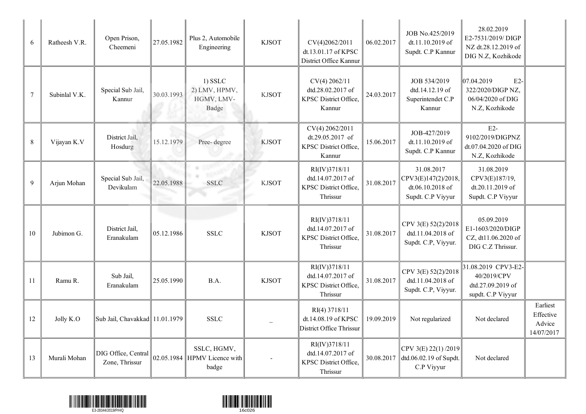| 6       | Ratheesh V.R. | Open Prison,<br>Cheemeni              | 27.05.1982 | Plus 2, Automobile<br>Engineering                        | <b>KJSOT</b> | CV(4)2062/2011<br>dt.13.01.17 of KPSC<br>District Office Kannur         | 06.02.2017 | JOB No.425/2019<br>dt.11.10.2019 of<br>Supdt. C.P Kannur                   | 28.02.2019<br>E2-7531/2019/DIGP<br>NZ dt.28.12.2019 of<br>DIG N.Z, Kozhikode    |                                               |
|---------|---------------|---------------------------------------|------------|----------------------------------------------------------|--------------|-------------------------------------------------------------------------|------------|----------------------------------------------------------------------------|---------------------------------------------------------------------------------|-----------------------------------------------|
| $\tau$  | Subinlal V.K. | Special Sub Jail,<br>Kannur           | 30.03.1993 | $1)$ SSLC<br>2) LMV, HPMV,<br>HGMV, LMV-<br><b>Badge</b> | <b>KJSOT</b> | CV(4) 2062/11<br>dtd.28.02.2017 of<br>KPSC District Office,<br>Kannur   | 24.03.2017 | JOB 534/2019<br>dtd.14.12.19 of<br>Superintendet C.P<br>Kannur             | 07.04.2019<br>$E2-$<br>322/2020/DIGP NZ,<br>06/04/2020 of DIG<br>N.Z, Kozhikode |                                               |
| $\,8\,$ | Vijayan K.V   | District Jail,<br>Hosdurg             | 15.12.1979 | Pree-degree                                              | <b>KJSOT</b> | CV(4) 2062/2011<br>dt.29.05.2017 of<br>KPSC District Office,<br>Kannur  | 15.06.2017 | JOB-427/2019<br>dt.11.10.2019 of<br>Supdt. C.P Kannur                      | $E2-$<br>9102/2019/DIGPNZ<br>dt.07.04.2020 of DIG<br>N.Z, Kozhikode             |                                               |
| 9       | Arjun Mohan   | Special Sub Jail,<br>Devikulam        | 22.05.1988 | <b>SSLC</b>                                              | <b>KJSOT</b> | RI(IV)3718/11<br>dtd.14.07.2017 of<br>KPSC District Office,<br>Thrissur | 31.08.2017 | 31.08.2017<br>CPV3(E)147(2)/2018,<br>dt.06.10.2018 of<br>Supdt. C.P Viyyur | 31.08.2019<br>CPV3(E)187/19,<br>dt.20.11.2019 of<br>Supdt. C.P Viyyur           |                                               |
| 10      | Jubimon G.    | District Jail.<br>Eranakulam          | 05.12.1986 | <b>SSLC</b>                                              | <b>KJSOT</b> | RI(IV)3718/11<br>dtd.14.07.2017 of<br>KPSC District Office,<br>Thrissur | 31.08.2017 | CPV 3(E) 52(2)/2018<br>dtd.11.04.2018 of<br>Supdt. C.P, Viyyur.            | 05.09.2019<br>E1-1603/2020/DIGP<br>CZ, dt11.06.2020 of<br>DIG C.Z Thrissur.     |                                               |
| 11      | Ramu R.       | Sub Jail,<br>Eranakulam               | 25.05.1990 | B.A.                                                     | <b>KJSOT</b> | RI(IV)3718/11<br>dtd.14.07.2017 of<br>KPSC District Office,<br>Thrissur | 31.08.2017 | CPV 3(E) 52(2)/2018<br>dtd.11.04.2018 of<br>Supdt. C.P, Viyyur.            | 31.08.2019 CPV3-E2-<br>40/2019/CPV<br>dtd.27.09.2019 of<br>supdt. C.P Viyyur    |                                               |
| 12      | Jolly K.O     | Sub Jail, Chavakkad 11.01.1979        |            | <b>SSLC</b>                                              |              | RI(4) 3718/11<br>dt.14.08.19 of KPSC<br>District Office Thrissur        | 19.09.2019 | Not regularized                                                            | Not declared                                                                    | Earliest<br>Effective<br>Advice<br>14/07/2017 |
| 13      | Murali Mohan  | DIG Office, Central<br>Zone, Thrissur |            | SSLC, HGMV,<br>02.05.1984 HPMV Licence with<br>badge     |              | RI(IV)3718/11<br>dtd.14.07.2017 of<br>KPSC District Office,<br>Thrissur | 30.08.2017 | CPV 3(E) 22(1) /2019<br>dtd.06.02.19 of Supdt.<br>C.P Viyyur               | Not declared                                                                    |                                               |



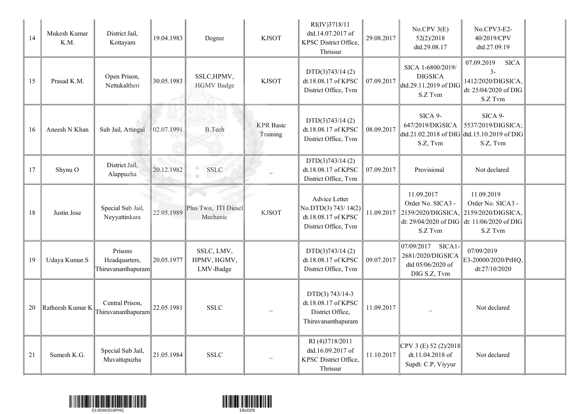| 14 | Mukesh Kumar<br>K.M. | District Jail,<br>Kottayam                     | 19.04.1983 | Degree                                 | <b>KJSOT</b>                 | RI(IV)3718/11<br>dtd.14.07.2017 of<br>KPSC District Office.<br>Thrissur             | 29.08.2017 | No.CPV3(E)<br>52(2)/2018<br>dtd.29.08.17                                       | No.CPV3-E2-<br>40/2019/CPV<br>dtd.27.09.19                                                                      |  |
|----|----------------------|------------------------------------------------|------------|----------------------------------------|------------------------------|-------------------------------------------------------------------------------------|------------|--------------------------------------------------------------------------------|-----------------------------------------------------------------------------------------------------------------|--|
| 15 | Prasad K.M.          | Open Prison,<br>Nettukaltheri                  | 30.05.1983 | SSLC, HPMV,<br><b>HGMV</b> Badge       | <b>KJSOT</b>                 | DTD(3)743/14(2)<br>dt.18.08.17 of KPSC<br>District Office, Tvm                      | 07.09.2017 | SICA 1-6800/2019/<br><b>DIGSICA</b><br>dtd.29.11.2019 of DIG<br>S.Z Tvm        | 07.09.2019<br><b>SICA</b><br>$3-$<br>1412/2020/DIGSICA,<br>dt: 25/04/2020 of DIG<br>S.Z Tvm                     |  |
| 16 | Aneesh N Khan        | Sub Jail, Attingal                             | 02.07.1991 | <b>B.Tech</b>                          | <b>KPR</b> Basic<br>Training | DTD(3)743/14(2)<br>dt.18.08.17 of KPSC<br>District Office, Tvm                      | 08.09.2017 | SICA 9-<br>647/2019/DIGSICA<br>S.Z, Tvm                                        | SICA 9-<br>5537/2019/DIGSICA;<br>dtd.21.02.2018 of DIG dtd.15.10.2019 of DIG<br>S.Z, Tvm                        |  |
| 17 | Shynu O              | District Jail,<br>Alappuzha                    | 20.12.1982 | <b>SSLC</b>                            |                              | DTD(3)743/14(2)<br>dt.18.08.17 of KPSC<br>District Office, Tvm                      | 07.09.2017 | Provisional                                                                    | Not declared                                                                                                    |  |
| 18 | Justin Jose          | Special Sub Jail,<br>Neyyattinkara             | 22.05.1989 | Plus Two, ITI Diesel<br>Mechanic       | <b>KJSOT</b>                 | Advice Letter<br>No.DTD(3) 743/14(2)<br>dt.18.08.17 of KPSC<br>District Office, Tvm | 11.09.2017 | 11.09.2017<br>Order No. SICA3 -<br>2159/2020/DIGSICA.<br>S.Z Tvm               | 11.09.2019<br>Order No. SICA3 -<br>2159/2020/DIGSICA,<br>dt: 29/04/2020 of DIG dt: 11/06/2020 of DIG<br>S.Z Tvm |  |
| 19 | Udaya Kumar.S        | Prisons<br>Headquarters,<br>Thiruvananthapuram | 20.05.1977 | SSLC, LMV,<br>HPMV, HGMV,<br>LMV-Badge |                              | DTD(3)743/14(2)<br>dt.18.08.17 of KPSC<br>District Office, Tvm                      | 09.07.2017 | 07/09/2017<br>SICA1-<br>2681/2020/DIGSICA<br>dtd 05/06/2020 of<br>DIG S.Z, Tvm | 07/09/2019<br>E3-20000/2020/PrHQ,<br>dt:27/10/2020                                                              |  |
| 20 | Ratheesh Kumar K     | Central Prison,<br>Thiruvananthapuram          | 22.05.1981 | <b>SSLC</b>                            |                              | DTD(3) 743/14-3<br>dt.18.08.17 of KPSC<br>District Office,<br>Thiruvananthapuram    | 11.09.2017 |                                                                                | Not declared                                                                                                    |  |
| 21 | Sumesh K.G.          | Special Sub Jail,<br>Muvattupuzha              | 21.05.1984 | <b>SSLC</b>                            |                              | RI(4)3718/2011<br>dtd.16.09.2017 of<br>KPSC District Office,<br>Thrissur            | 11.10.2017 | $CPV$ 3 (E) 52 (2)/2018<br>dt.11.04.2018 of<br>Supdt. C.P, Viyyur              | Not declared                                                                                                    |  |



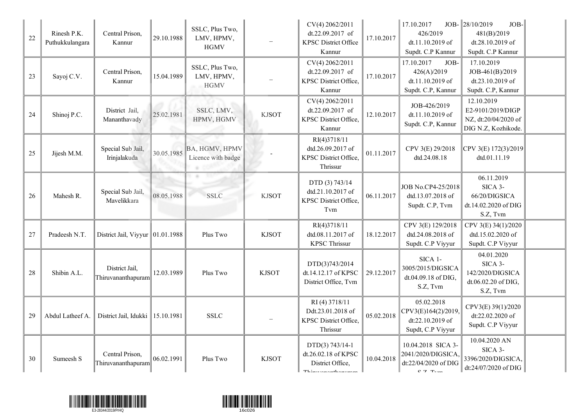| 22 | Rinesh P.K.<br>Puthukkulangara | Central Prison,<br>Kannur                            | 29.10.1988 | SSLC, Plus Two,<br>LMV, HPMV,<br><b>HGMV</b> |              | CV(4) 2062/2011<br>dt.22.09.2017 of<br><b>KPSC District Office</b><br>Kannur      | 17.10.2017 | 17.10.2017<br>426/2019<br>dt.11.10.2019 of<br>Supdt. C.P Kannur                              | JOB- $\ 28/10/2019$<br>JOB-<br>481(B)/2019<br>dt.28.10.2019 of<br>Supdt. C.P Kannur |  |
|----|--------------------------------|------------------------------------------------------|------------|----------------------------------------------|--------------|-----------------------------------------------------------------------------------|------------|----------------------------------------------------------------------------------------------|-------------------------------------------------------------------------------------|--|
| 23 | Sayoj C.V.                     | Central Prison,<br>Kannur                            | 15.04.1989 | SSLC, Plus Two,<br>LMV, HPMV,<br><b>HGMV</b> |              | CV(4) 2062/2011<br>dt.22.09.2017 of<br>KPSC District Office,<br>Kannur            | 17.10.2017 | 17.10.2017<br>JOB-<br>426(A)/2019<br>dt.11.10.2019 of<br>Supdt. C.P, Kannur                  | 17.10.2019<br>JOB-461(B)/2019<br>dt.23.10.2019 of<br>Supdt. C.P, Kannur             |  |
| 24 | Shinoj P.C.                    | District Jail,<br>Mananthavady                       | 25.02.1981 | SSLC, LMV,<br>HPMV, HGMV                     | <b>KJSOT</b> | CV(4) 2062/2011<br>dt.22.09.2017 of<br>KPSC District Office,<br>Kannur            | 12.10.2017 | JOB-426/2019<br>dt.11.10.2019 of<br>Supdt. C.P, Kannur                                       | 12.10.2019<br>E2-9101/2019/DIGP<br>NZ, dt:20/04/2020 of<br>DIG N.Z, Kozhikode.      |  |
| 25 | Jijesh M.M.                    | Special Sub Jail,<br>Irinjalakuda                    | 30.05.1985 | BA, HGMV, HPMV<br>Licence with badge<br>a.   |              | RI(4)3718/11<br>dtd.26.09.2017 of<br>KPSC District Office,<br>Thrissur            | 01.11.2017 | CPV 3(E) 29/2018<br>dtd.24.08.18                                                             | CPV 3(E) 172(3)/2019<br>dtd.01.11.19                                                |  |
| 26 | Mahesh R.                      | Special Sub Jail,<br>Mavelikkara                     | 08.05.1988 | <b>TOP</b><br>. .<br><b>SSLC</b>             | <b>KJSOT</b> | DTD (3) 743/14<br>dtd.21.10.2017 of<br>KPSC District Office,<br>Tvm               | 06.11.2017 | JOB No.CP4-25/2018<br>dtd.13.07.2018 of<br>Supdt. C.P, Tvm                                   | 06.11.2019<br>SICA 3-<br>66/20/DIGSICA<br>dt.14.02.2020 of DIG<br>S.Z, Tvm          |  |
| 27 | Pradeesh N.T.                  | District Jail, Viyyur $\vert\vert 01.01.1988\rangle$ |            | Plus Two                                     | <b>KJSOT</b> | RI(4)3718/11<br>dtd.08.11.2017 of<br><b>KPSC Thrissur</b>                         | 18.12.2017 | CPV 3(E) 129/2018<br>dtd.24.08.2018 of<br>Supdt. C.P Viyyur                                  | CPV 3(E) 34(1)/2020<br>dtd.15.02.2020 of<br>Supdt. C.P Viyyur                       |  |
| 28 | Shibin A.L.                    | District Jail,<br>Thiruvananthapuram                 | 12.03.1989 | Plus Two                                     | <b>KJSOT</b> | DTD(3)743/2014<br>dt.14.12.17 of KPSC<br>District Office, Tvm                     | 29.12.2017 | SICA 1-<br>3005/2015/DIGSICA<br>dt.04.09.18 of DIG,<br>S.Z, Tvm                              | 04.01.2020<br>SICA 3-<br>142/2020/DIGSICA<br>dt.06.02.20 of DIG,<br>S.Z, Tvm        |  |
| 29 | Abdul Latheef A.               | District Jail, Idukki   15.10.1981                   |            | <b>SSLC</b>                                  |              | RI(4) 3718/11<br>Ddt.23.01.2018 of<br>KPSC District Office,<br>Thrissur           | 05.02.2018 | 05.02.2018<br>CPV3(E)164(2)/2019,<br>dt:22.10.2019 of<br>Supdt, C.P Viyyur                   | CPV3(E) 39(1)/2020<br>dt:22.02.2020 of<br>Supdt. C.P Viyyur                         |  |
| 30 | Sumeesh S                      | Central Prison,<br>Thiruvananthapuram                | 06.02.1991 | Plus Two                                     | <b>KJSOT</b> | $DTD(3) 743/14-1$<br>dt.26.02.18 of KPSC<br>District Office,<br>Thimwananthanwoon | 10.04.2018 | 10.04.2018 SICA 3-<br>2041/2020/DIGSICA<br>dt:22/04/2020 of DIG<br>$C$ $7$ $T$ <sub>rm</sub> | 10.04.2020 AN<br>SICA 3-<br>3396/2020/DIGSICA,<br>dt:24/07/2020 of DIG              |  |



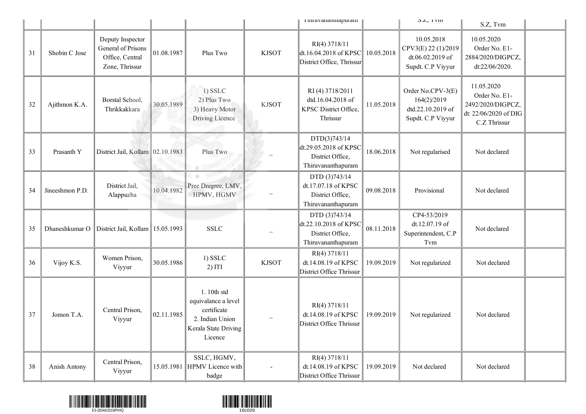|    |                 |                                                                             |            |                                                                                                        |              | пиги уананинариганн                                                                                                      |            | $5.L$ , $1 VIII$                                                           | S.Z, Tvm                                                                                  |  |
|----|-----------------|-----------------------------------------------------------------------------|------------|--------------------------------------------------------------------------------------------------------|--------------|--------------------------------------------------------------------------------------------------------------------------|------------|----------------------------------------------------------------------------|-------------------------------------------------------------------------------------------|--|
| 31 | Shobin C Jose   | Deputy Inspector<br>General of Prisons<br>Office, Central<br>Zone, Thrissur | 01.08.1987 | Plus Two                                                                                               | <b>KJSOT</b> | RI(4) 3718/11<br>dt.16.04.2018 of KPSC<br>District Office, Thrissur                                                      | 10.05.2018 | 10.05.2018<br>CPV3(E) 22 (1)/2019<br>dt.06.02.2019 of<br>Supdt. C.P Viyyur | 10.05.2020<br>Order No. E1-<br>2884/2020/DIGPCZ,<br>dt:22/06/2020.                        |  |
| 32 | Ajithmon K.A.   | Borstal School,<br>Thrikkakkara                                             | 30.05.1989 | $1)$ SSLC<br>2) Plus Two<br>3) Heavy Motor<br><b>Driving Licence</b>                                   | <b>KJSOT</b> | RI(4) 3718/2011<br>dtd.16.04.2018 of<br>KPSC District Office,<br>Thrissur                                                | 11.05.2018 | Order No.CPV-3(E)<br>164(2)/2019<br>dtd.22.10.2019 of<br>Supdt. C.P Viyyur | 11.05.2020<br>Order No. E1-<br>2492/2020/DIGPCZ,<br>dt: 22/06/2020 of DIG<br>C.Z Thrissur |  |
| 33 | Prasanth Y      | District Jail, Kollam 02.10.1983                                            |            | Plus Two                                                                                               |              | DTD(3)743/14<br>dt.29.05.2018 of KPSC<br>District Office,<br>Thiruvananthapuram                                          | 18.06.2018 | Not regularised                                                            | Not declared                                                                              |  |
| 34 | Jineeshmon P.D. | District Jail,<br>Alappuzha                                                 | 10.04.1982 | <b>COLLECTIVE</b><br>m an<br>Pree Dregree, LMV,<br>HPMV, HGMV                                          |              | DTD (3)743/14<br>dt.17.07.18 of KPSC<br>District Office,<br>Thiruvananthapuram                                           | 09.08.2018 | Provisional                                                                | Not declared                                                                              |  |
| 35 | Dhaneshkumar O  | District Jail, Kollam   15.05.1993                                          |            | <b>SSLC</b>                                                                                            |              | DTD (3)743/14<br>$\left  \frac{\text{dt}}{\text{.22}} \right.$ 10.2018 of KPSC<br>District Office,<br>Thiruvananthapuram | 08.11.2018 | CP4-53/2019<br>dt.12.07.19 of<br>Superintendent, C.P<br>Tvm                | Not declared                                                                              |  |
| 36 | Vijoy K.S.      | Women Prison,<br>Viyyur                                                     | 30.05.1986 | $1)$ SSLC<br>2) ITI                                                                                    | <b>KJSOT</b> | RI(4) 3718/11<br>dt.14.08.19 of KPSC<br>District Office Thrissur                                                         | 19.09.2019 | Not regularized                                                            | Not declared                                                                              |  |
| 37 | Jomon T.A.      | Central Prison.<br>Viyyur                                                   | 02.11.1985 | 1.10th std<br>equivalance a level<br>certificate<br>2. Indian Union<br>Kerala State Driving<br>Licence |              | RI(4) 3718/11<br>dt.14.08.19 of KPSC<br>District Office Thrissur                                                         | 19.09.2019 | Not regularized                                                            | Not declared                                                                              |  |
| 38 | Anish Antony    | Central Prison,<br>Viyyur                                                   |            | SSLC, HGMV,<br>15.05.1981 HPMV Licence with<br>badge                                                   |              | RI(4) 3718/11<br>dt.14.08.19 of KPSC<br>District Office Thrissur                                                         | 19.09.2019 | Not declared                                                               | Not declared                                                                              |  |



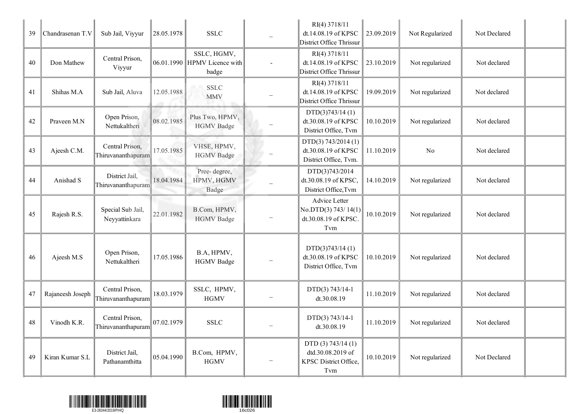| 39 | Chandrasenan T.V | Sub Jail, Viyyur                      | 28.05.1978 | <b>SSLC</b>                                          | RI(4) 3718/11<br>dt.14.08.19 of KPSC<br>District Office Thrissur          | 23.09.2019 | Not Regularized | Not Declared |  |
|----|------------------|---------------------------------------|------------|------------------------------------------------------|---------------------------------------------------------------------------|------------|-----------------|--------------|--|
| 40 | Don Mathew       | Central Prison,<br>Viyyur             |            | SSLC, HGMV,<br>06.01.1990 HPMV Licence with<br>badge | RI(4) 3718/11<br>dt.14.08.19 of KPSC<br>District Office Thrissur          | 23.10.2019 | Not regularized | Not declared |  |
| 41 | Shihas M.A       | Sub Jail, Aluva                       | 12.05.1988 | <b>SSLC</b><br><b>MMV</b>                            | RI(4) 3718/11<br>dt.14.08.19 of KPSC<br>District Office Thrissur          | 19.09.2019 | Not regularized | Not declared |  |
| 42 | Praveen M.N      | Open Prison,<br>Nettukaltheri         | 08.02.1985 | Plus Two, HPMV,<br><b>HGMV</b> Badge                 | DTD(3)743/14(1)<br>dt.30.08.19 of KPSC<br>District Office, Tvm            | 10.10.2019 | Not regularized | Not declared |  |
| 43 | Ajeesh C.M.      | Central Prison,<br>Thiruvananthapuram | 17.05.1985 | VHSE, HPMV,<br><b>HGMV</b> Badge                     | DTD(3) 743/2014 (1)<br>dt.30.08.19 of KPSC<br>District Office, Tvm.       | 11.10.2019 | No              | Not declared |  |
| 44 | Anishad S        | District Jail,<br>Thiruvananthapuram  | 18.04.1984 | Pree-degree,<br>HPMV, HGMV<br>Badge                  | DTD(3)743/2014<br>dt.30.08.19 of KPSC.<br>District Office, Tvm            | 14.10.2019 | Not regularized | Not declared |  |
| 45 | Rajesh R.S.      | Special Sub Jail,<br>Neyyattinkara    | 22.01.1982 | B.Com, HPMV,<br><b>HGMV</b> Badge                    | Advice Letter<br>No.DTD(3) 743/14(1)<br>dt.30.08.19 of KPSC.<br>Tvm       | 10.10.2019 | Not regularized | Not declared |  |
| 46 | Ajeesh M.S       | Open Prison,<br>Nettukaltheri         | 17.05.1986 | B.A, HPMV,<br><b>HGMV</b> Badge                      | DTD(3)743/14(1)<br>dt.30.08.19 of KPSC<br>District Office, Tvm            | 10.10.2019 | Not regularized | Not declared |  |
| 47 | Rajaneesh Joseph | Central Prison,<br>Thiruvananthapuram | 18.03.1979 | SSLC, HPMV,<br><b>HGMV</b>                           | DTD(3) 743/14-1<br>dt.30.08.19                                            | 11.10.2019 | Not regularized | Not declared |  |
| 48 | Vinodh K.R.      | Central Prison,<br>Thiruvananthapuram | 07.02.1979 | <b>SSLC</b>                                          | DTD(3) 743/14-1<br>dt.30.08.19                                            | 11.10.2019 | Not regularized | Not declared |  |
| 49 | Kiran Kumar S.L  | District Jail,<br>Pathanamthitta      | 05.04.1990 | B.Com, HPMV,<br><b>HGMV</b>                          | DTD (3) $743/14$ (1)<br>dtd.30.08.2019 of<br>KPSC District Office,<br>Tvm | 10.10.2019 | Not regularized | Not Declared |  |